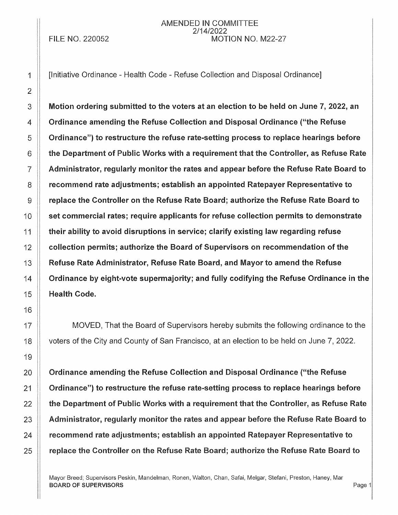**FILE NO. 220052** 

## AMENDED IN COMMITTEE 2/14/2022 MOTION NO. M22-27

[Initiative Ordinance - Health Code - Refuse Collection and Disposal Ordinance]

Motion ordering submitted to the voters at an election to be held on June 7, 2022, an Ordinance amending the Refuse Collection and Disposal Ordinance ("the Refuse Ordinance") to restructure the refuse rate-setting process to replace hearings before the Department of Public Works with a requirement that the Controller, as Refuse Rate Administrator, regularly monitor the rates and appear before the Refuse Rate Board to recommend rate adjustments; establish an appointed Ratepayer Representative to replace the Controller on the Refuse Rate Board; authorize the Refuse Rate Board to set commercial rates; require applicants for refuse collection permits to demonstrate their ability to avoid disruptions in service; clarify existing law regarding refuse collection permits; authorize the Board of Supervisors on recommendation of the Refuse Rate Administrator, Refuse Rate Board, and Mayor to amend the Refuse Ordinance by eight-vote supermajority; and fully codifying the Refuse Ordinance in the **Health Code.** 

MOVED, That the Board of Supervisors hereby submits the following ordinance to the voters of the City and County of San Francisco, at an election to be held on June 7, 2022.

Ordinance amending the Refuse Collection and Disposal Ordinance ("the Refuse Ordinance") to restructure the refuse rate-setting process to replace hearings before the Department of Public Works with a requirement that the Controller, as Refuse Rate Administrator, regularly monitor the rates and appear before the Refuse Rate Board to recommend rate adjustments; establish an appointed Ratepayer Representative to replace the Controller on the Refuse Rate Board; authorize the Refuse Rate Board to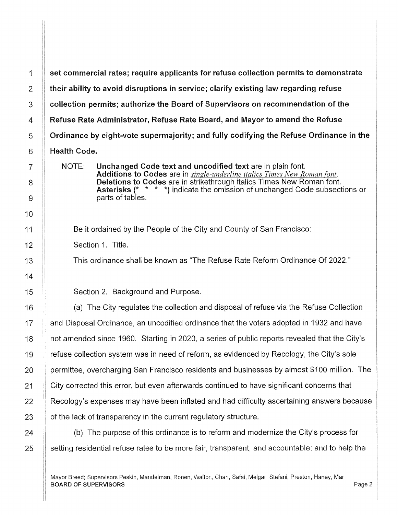1 set commercial rates; require applicants for refuse collection permits to demonstrate  $2$   $\parallel$  their ability to avoid disruptions in service; clarify existing law regarding refuse 3 **Collection permits; authorize the Board of Supervisors on recommendation of the** 4 Refuse Rate Administrator, Refuse Rate Board, and Mayor to amend the Refuse 5 Ordinance by eight-vote supermajority; and fully codifying the Refuse Ordinance in the 6 **Health Code.** NOTE: Unchanged Code text and uncodified text are in plain font. Additions to Codes are in *single-underline italics Times New Roman font.*  Deletions to Codes are in strikethrough italics Times New Roman font. Asterisks (\* \* \* \*) indicate the omission of unchanged Code subsections or parts of tables. Section 1. Title. 15 **Section 2. Background and Purpose.** 16  $\parallel$  (a) The City regulates the collection and disposal of refuse via the Refuse Collection 17 **and Disposal Ordinance, an uncodified ordinance that the voters adopted in 1932 and have** 18 | not amended since 1960. Starting in 2020, a series of public reports revealed that the City's 19 refuse collection system was in need of reform, as evidenced by Recology, the City's sole 20 **permittee, overcharging San Francisco residents and businesses by almost \$100 million.** The 21 City corrected this error, but even afterwards continued to have significant concerns that 22 **Recology's expenses may have been inflated** and had difficulty ascertaining answers because  $23$  || of the lack of transparency in the current regulatory structure.

 $24$   $\parallel$  (b) The purpose of this ordinance is to reform and modernize the City's process for 25 Setting residential refuse rates to be more fair, transparent, and accountable; and to help the

Be it ordained by the People of the City and County of San Francisco:

This ordinance shall be known as "The Refuse Rate Reform Ordinance Of 2022."

BOARD OF SUPERVISORS And the state of the state of the state of the state of the state of the state of the state of the state of the state of the state of the state of the state of the state of the state of the state of th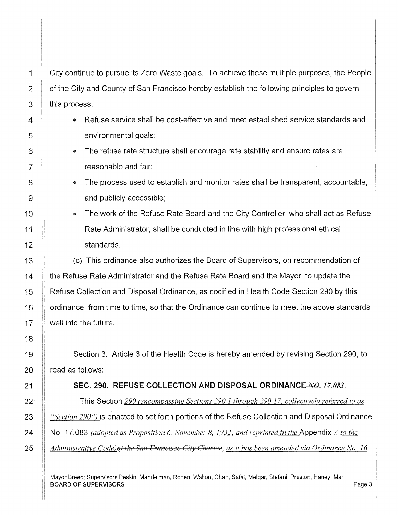City continue to pursue its Zero-Waste goals. To achieve these multiple purposes, the People of the City and County of San Francisco hereby establish the following principles to govern this process:

- Refuse service shall be cost-effective and meet established service standards and environmental goals;
- The refuse rate structure shall encourage rate stability and ensure rates are reasonable and fair;
- The process used to establish and monitor rates shall be transparent, accountable, and publicly accessible;
- The work of the Refuse Rate Board and the City Controller, who shall act as Refuse Rate Administrator, shall be conducted in line with high professional ethical standards.

(c) This ordinance also authorizes the Board of Supervisors, on recommendation of the Refuse Rate Administrator and the Refuse Rate Board and the Mayor, to update the Refuse Collection and Disposal Ordinance, as codified in Health Code Section 290 by this ordinance, from time to time, so that the Ordinance can continue to meet the above standards well into the future.

Section 3. Article 6 of the Health Code is hereby amended by revising Section 290, to read as follows:

## SEC. 290. REFUSE COLLECTION AND DISPOSAL ORDINANCE *NO. 17.083.*

This Section *290 (encompassing Sections 290.1 through 290.17, collectively referred to as "Section 290")* is enacted to set forth portions of the Refuse Coilection and Disposal Ordinance No. 17.083 *(adopted as Proposition 6, November 8, 1932, and reprinted in the* Appendix *A to the Administrative Code)<del>of the San Francisco City Charter</del>, as it has been amended via Ordinance No. 16*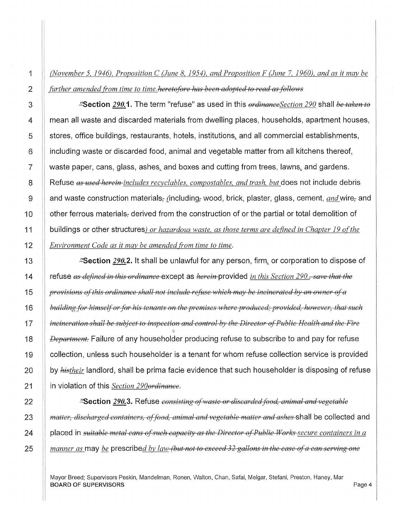1 *(November 5, 1946), Proposition C (June 8, 1954), and Proposition F (June* 7, *1960), and as it may be*  2 *further amended from time to time. heretofore has been adopted to read as follows* 

3 **. Section 290.1.** The term "refuse" as used in this *ordinanceSection 290* shall *be taken to*  $\frac{1}{2}$ 4 **Figure 2** mean all waste and discarded materials from dwelling places, households, apartment houses,  $5$   $\parallel$  stores, office buildings, restaurants, hotels, institutions, and all commercial establishments, 6 **i** including waste or discarded food, animal and vegetable matter from all kitchens thereof, 7 | waste paper, cans, glass, ashes, and boxes and cutting from trees, lawns, and gardens. 8 Refuse as used herein-includes recyclables, compostables, and trash, but does not include debris 9 and waste construction materials, {including, wood, brick, plaster, glass, cement, *and* wire, and 10  $\parallel$  other ferrous materials, derived from the construction of or the partial or total demolition of 11 buildings or other structures) *or hazardous waste, as those terms are defined in Chapter 19 ofthe*  12 *Environment Code as it may be amended from time to time.* 

13 **11 13 ... It shall be unlawful for any person, firm, or corporation to dispose of** 14 refuse *as defined in this ordinance* except as *herein* provided *in this Section 290., save that the*  15 *provisions of this ordinance shall not include refuse which may be incinerated by an owner of a* 16 *building for himself or for his tenants on the premises where produced; provided, however, that such* $\frac{1}{2}$ 17 *incineration shall be subject to inspection and control by the Director of Public Health and the F'ire*  18 *Department.* Failure of any householder producing refuse to subscribe to and pay for refuse 19 | collection, unless such householder is a tenant for whom refuse collection service is provided 20 by *histheir* landlord, shall be prima facie evidence that such householder is disposing of refuse 21 in violation of this *Section 290ordinance.* 

**... 22 ... All 200.3.** *PHOD.3. Refuse consisting of waste or discarded food, animal and vegetable 20.3. matter, discharged containers, offood, animal and vegetable matter and ashes* shall be collected and **placed in** *suitable metal cans of such capacity as the Director of Public Works-secure containers in a* **2** *manner as* may *be* prescribed *by law (but not to exceed 32 gallons in the case ofa can serving one* 

Mayor Breed; Supervisors Peskin, Mandelman, Ronen, Walton, Chan, Safai, Melgar, Stefani, Preston, Haney, Mar BOARD OF SUPERVISORS And the state of the state of the state of the state of the state of the state of the state of the state of the state of the state of the state of the state of the state of the state of the state of th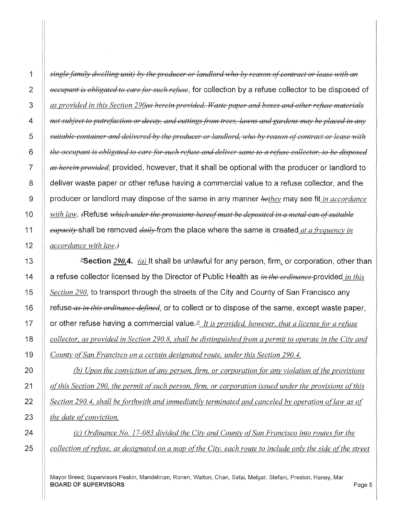*single family dwelling unit) by the producer or landlord who by reason of contract or lease with an* $\ell$ *occupant is obligated to care for such refuse*, for collection by a refuse collector to be disposed of *as provided in this Section 290<del>as herein provided. Waste paper and boxes and other refuse materials* $\theta$ </del> *a <i>not subject to putrefaction or decay, and cuttings from trees, lawns and gardens may be placed in any* $\theta$ *suitable container and delivered by the producer or landlord, who by reason of contract or lease with the occupant is obligated to care for such refase and deliver same to a nfi1se collector, to be disposed as herein provided;* provided, however, that it shall be optional with the producer or landlord to 8 deliver waste paper or other refuse having a commercial value to a refuse collector, and the 9 producer or landlord may dispose of the same in any manner *hethey* may see fit *in accordance with law.*  $\epsilon$ Refuse *which under the provisions hereof must be deposited in a metal can of suitable*  $\parallel$  *eapacity* shall be removed *daily* from the place where the same is created *at a frequency in accordance with law.}* 

**Example 2008.** As Anally shall be unlawful for any person, firm, or corporation, other than 14 a refuse collector licensed by the Director of Public Health as *in the ordinance* provided *in this Section 290,* to transport through the streets of the City and County of San Francisco any 16 refuse *as in this ordinance defined,* or to collect or to dispose of the same, except waste paper, **1** or other refuse having a commercial value.<sup>1</sup> It is provided, however, that a license for a refuse *collector, as provided in Section 290.8, shall be distinguished from a permit to operate in the City and County ofSan Francisco on a certain designated route, under this Section 290.4.* 

(b) *Upon the conviction of any person, firm, or corporation for any violation of the provisions of this Section 290, the permit of such person, firm, or corporation issued under the provisions of this* **Section 290.4, shall be forthwith and immediately terminated and canceled by operation of law as of** *the date of conviction.* 

**(b)** *(c)* Ordinance No. 17-083 divided the City and County of San Francisco into routes for the *collection ofrefitse, as designated on a map oft he City, each route to include only the side of the street*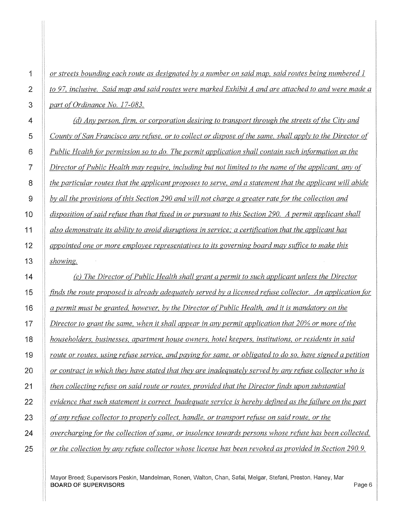*or streets bounding each route as designated by a number on said map, said routes being numbered 1 to 97, inclusive. Said map and said routes were marked Exhibit A and are attached to and were made a part of Ordinance No. 17-083.* 

*(d) Anv person, firm, or corporation desiring to transport through the streets of the City and County of San Francisco any refitse, or to collect or dispose oft he same, shall apply to the Director of Public Health for permission so to do. The permit application shall contain such information as the Director of Public Health may require, including but not limited to the name of the applicant, any of the particular routes that the applicant proposes to serve, and a statement that the applicant will abide by all the provisions ofthis Section 290 and will not charge a greater rate for the collection and disposition of said refitse than that fixed in or pursuant to this Section 290. A permit applicant shall also demonstrate its ability to avoid disruptions in service,' a certification that the applicant has appointed one or more employee representatives to its governing board may suffice to make this showing.* 

*(e) The Director of Public Health shall grant a permit to such applicant unless the Director finds the route proposed is already adequately served by a licensed refitse collector. An application for a permit must be granted, however, by the Director of Public Health, and it is mandatory on the Director to grant the same, when it shall appear in any permit application that 20% or more of the householders, businesses, apartment house owners, hotel keepers, institutions, or residents in said route or routes, using refitse service, and paying for same, or obligated to do so, have signed a petition or contract in which they have stated that they are inadequately served by any refitse collector who is then collecting refitse on said route or routes, provided that the Director finds upon substantial evidence that such statement is correct. Inadequate service is hereby defined as the {Ctilure on the part of any; refitse collector to properly collect, handle, or transport refitse on said route, or the overcharging for the collection of same, or insolence towards persons whose refitse has been collected,* 

*or the collection by any refuse collector whose license has been revoked as provided in Section 290. 9.*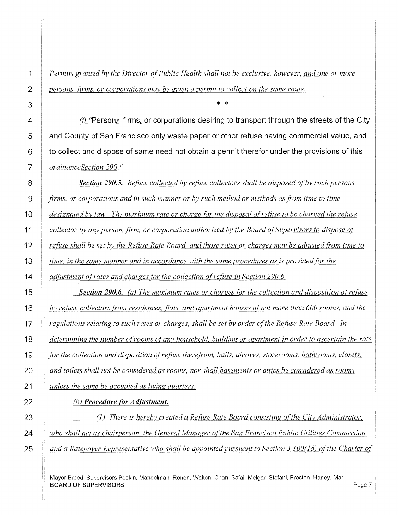*Permits granted by the Director of Public Health shall not be exclusive, however, and one or more persons, firms, or corporations may be given a permit to collect on the same route.* 

**4 1** *(f)* $\text{L}$  **Persons, firms, or corporations desiring to transport through the streets of the City and <b>A 5 and County of San Francisco only waste paper or other refuse having commercial value, and 6 to collect and dispose of same need not obtain a permit therefor under the provisions of this**  *ordinanceSection 290.1!* 

*Section 290.5. Refuse collected by refuse collectors shall be disposed of by such persons, firms, or corporations and in such manner or by such method or methods as from time to time designated by law. The maximum rate or charge for the disposal of re{itse to be charged the re{itse collector by any person, firm, or corporation authorized by the Board ofSupervisors to dispose of <i>refuse shall be set by the Refuse Rate Board, and those rates or charges may be adjusted from time to* **<b>***in time, in the same manner and in accordance with the same procedures as is provided for the diustment of rates and charges for the collection of refuse in Section 290.6.* 

*Section 290.6. (a) The maximum rates or charges for the collection and disposition ofrefitse by refitse collectors from residences, flats, and apartment houses of not more than 600 rooms, and the regulations relating to such rates or charges, shall be set by order of the Re{itse Rate Board. In determining the number of rooms of any household, building or apartment in order to ascertain the rate .for the collection and disposition ofrefitse therefrom, halls, alcoves, storerooms, bathrooms, closets, and toilets shall not be considered as rooms, nor shall basements or attics be considered as rooms unless the same be occupied as living quarters.* 

## **(b)** *Procedure (or Adjustment.*

(I) *There is hereby created a Refitse Rate Board consisting ofthe City Administrator, who shall act as chairperson, the General Manager of the San Francisco Public Utilities Commission, and a Ratepayer Representative who shall be appointed pursuant to Section 3.100(18) of the Charter of*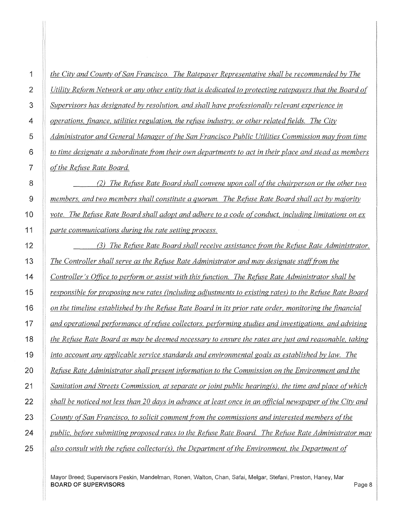| 1               | the City and County of San Francisco. The Ratepayer Representative shall be recommended by The           |
|-----------------|----------------------------------------------------------------------------------------------------------|
| $\overline{2}$  | Utility Reform Network or any other entity that is dedicated to protecting ratepayers that the Board of  |
| 3               | Supervisors has designated by resolution, and shall have professionally relevant experience in           |
| 4               | operations, finance, utilities regulation, the refuse industry, or other related fields. The City        |
| 5               | Administrator and General Manager of the San Francisco Public Utilities Commission may from time         |
| 6               | to time designate a subordinate from their own departments to act in their place and stead as members    |
| $\overline{7}$  | of the Refuse Rate Board.                                                                                |
| 8               | The Refuse Rate Board shall convene upon call of the chairperson or the other two                        |
| 9               | members, and two members shall constitute a quorum. The Refuse Rate Board shall act by majority          |
| 10              | vote. The Refuse Rate Board shall adopt and adhere to a code of conduct, including limitations on ex     |
| 11              | parte communications during the rate setting process.                                                    |
| 12              | (3) The Refuse Rate Board shall receive assistance from the Refuse Rate Administrator.                   |
| 13              | The Controller shall serve as the Refuse Rate Administrator and may designate staff from the             |
| 14              | Controller's Office to perform or assist with this function. The Refuse Rate Administrator shall be      |
| 15              | responsible for proposing new rates (including adjustments to existing rates) to the Refuse Rate Board   |
| 16              | on the timeline established by the Refuse Rate Board in its prior rate order, monitoring the financial   |
| 17              | and operational performance of refuse collectors, performing studies and investigations, and advising    |
| 18              | the Refuse Rate Board as may be deemed necessary to ensure the rates are just and reasonable, taking     |
| 19              | into account any applicable service standards and environmental goals as established by law. The         |
| $\overline{20}$ | Refuse Rate Administrator shall present information to the Commission on the Environment and the         |
| 21              | Sanitation and Streets Commission, at separate or joint public hearing(s), the time and place of which   |
| 22              | shall be noticed not less than 20 days in advance at least once in an official newspaper of the City and |
| 23              | County of San Francisco, to solicit comment from the commissions and interested members of the           |
| 24              | public, before submitting proposed rates to the Refuse Rate Board. The Refuse Rate Administrator may     |
| 25              | also consult with the refuse collector(s), the Department of the Environment, the Department of          |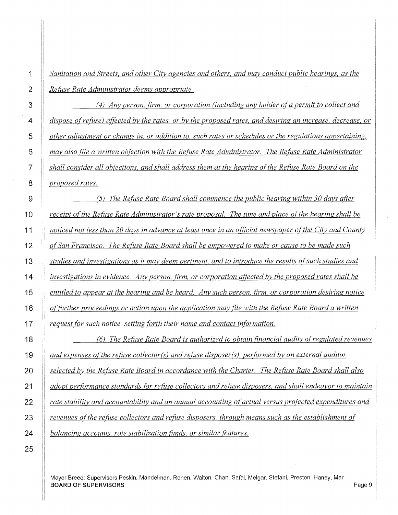*Sanitation and Streets, and other City agencies and others, and may conduct public hearings, as the Refitse Rate Administrator deems appropriate.* 

*(4) Anv person, firm, or corporation (including any holder ofa permit to collect and dispose ofrefuse) affected by the rates, or by the proposed rates, and desiring an increase, decrease, or other adjustment or change in, or addition to, such rates or schedules or the regulations appertaining, may also file a written objection with the Refuse Rate Administrator. The Refuse Rate Administrator shall consider all objections, and shall address them at the hearing of the Refuse Rate Board on the proposed rates.* 

*(5) The Refuse Rate Board shall commence the public hearing within 30 days after receipt of the Refitse Rate Administrator's rate proposal. The time and place of the hearing shall be noticed not less than 20 days in advance at least once in an official newspaper of the City and County of San Francisco. The Refitse Rate Board shall be empowered to make or cause to be made such studies and investigations as it may deem pertinent, and to introduce the results ofsuch studies and investigations in evidence. Any person, firm, or corporation affected by the proposed rates shall be entitled to appear at the hearing and be heard. Any such person, firm, or corporation desiring notice olfitrther proceedings or action upon the application may file with the Refuse Rate Board a written request for such notice, setting forth their name and contact information.* 

*(6) The Refitse Rate Board is authorized to obtain financial audits of regulated revenues and expenses of the refitse collector(s) and refitse disposer(s), performed by an external auditor selected by the Refuse Rate Board in accordance with the Charter. The Refuse Rate Board shall also**in selected by the Refuse**Rate Board shall also adopt performance standards for refuse collectors and refuse disposers, and shall endeavor to maintain rate stability and accountability and an annual accounting of actual versus projected expenditures and revenues ofthe refitse collectors and refitse disposers, through means such as the establishment of balancing accounts, rate stabilization fimds, or similar features.*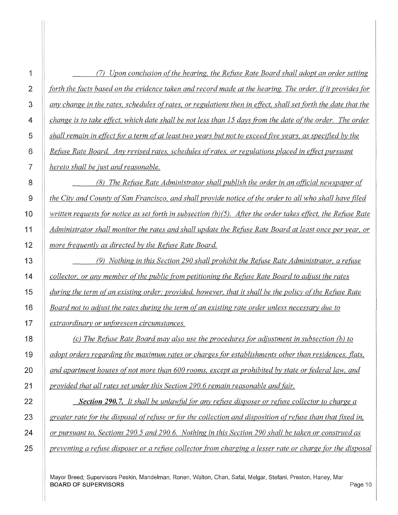1 (7) *Upon conclusion of the hearing, the Refuse Rate Board shall adopt an order setting forth the facts based on the evidence taken and record made at the hearing. The order, if it provides for anv change in the rates, schedules ofrates, or regulations then in effect, shall set forth the date that the change is to take effect, which date shall be not less than 15 days from the date of the order. The order shall remain in effect for a term of at least two years but not to exceed five years, as specified by the Refuse Rate Board. Any revised rates, schedules ofrates, or regulations placed in effect pursuant hereto shall be just and reasonable.* 

*(8) The Refitse Rate Administrator shall publish the order in an official newspaper of l the City and County of San Francisco, and shall provide notice of the order to all who shall have filed i written requests for notice as set forth in subsection (b)(5). After the order takes effect, the Refuse Rate Administrator shall monitor the rates and shall update the Refitse Rate Board at least once per year, or more frequently as directed by the Refitse Rate Board.* 

 **13 (9)** *Nothing in this Section 290 shall prohibit the Refuse Rate Administrator, a refuse collector, or any member of the public from petitioning the Refuse Rate Board to adjust the rates* **<b>1**  *during the term of an existing order; provided, however, that it shall be the policy of the Refuse Rate Board not to adjust the rates during the term of an existing rate order unless necessary due to extraordinary or unforeseen circumstances.* 

 *(c) The Refuse Rate Board may also use the procedures for adjustment in subsection (b) to adopt orders regarding the maximum rates or charges for establishments other than residences, flats, and apartment houses of not more than 600 rooms, except as prohibited by state or federal law, and provided that all rates set under this Section 290. 6 remain reasonable and fair.* 

 *Section 290.7. It shall be unlawful for any refuse disposer or refuse collector to charge a* $\alpha$ *greater rate for the disposal of refuse or for the collection and disposition of refuse than that fixed in, or pursuant to, Sections 290. 5 and 290. 6. Nothing in this Section 290 shall be taken or construed as preventing a refuse disposer or a refuse collector from charging a lesser rate or charge for the disposal*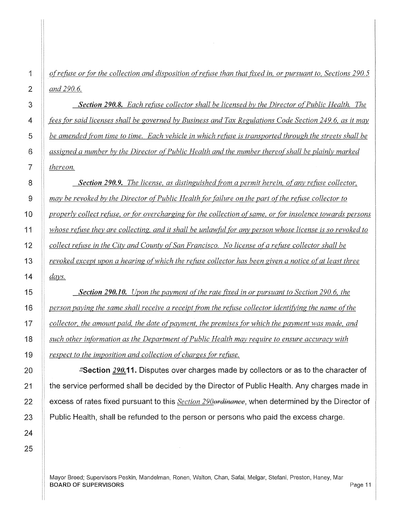*of refuse or for the collection and disposition ofrefitse than that fixed in, or pursuant to, Sections 290. 5 and 290.6.* 

*Section 290.8. Each refitse collector shall be licensed by the Director of Public Health. The fees {Or said licenses shall be governed by Business and Tax Regulations Code Section 249. 6, as it may*  be amended from time to time. Each vehicle in which refuse is transported through the streets shall be *assigned a number by the Director of Public Health and the number thereof shall be plainly marked thereon.* 

**Section 290.9.** The license, as distinguished from a permit herein, of any refuse collector, *may be revoked by the Director of Public Health {Or failure on the part of the refuse collector to properly collect refitse, or {Or overcharging {Or the collection of same, or {Or insolence towards persons whose refitse they are collecting, and it shall be unlawfitl {Or any person whose license is so revoked to collect refuse in the City and County of San Francisco. No license of a refitse collector shall be revoked except upon a hearing of which the refitse collector has been given a notice of at least three*  days.

*Section 290.10. Upon the payment of the rate fixed in or pursuant to Section 290. 6, the person paying the same shall receive a receipt from the refuse collector identifying the name of the collector, the amount paid, the date of payment, the premises for which the payment was made, and such other in{Ormation as the Department of Public Health may require to ensure accuracy with respect to the imposition and collection of charges for refuse.* 

**ESection** *290.11.* **Disputes over charges made by collectors or as to the character of the service performed shall be decided by the Director of Public Health. Any charges made in excess of rates fixed pursuant to this** *Section 290ordinance,* **when determined by the Director of Public Health, shall be refunded to the person or persons who paid the excess charge.**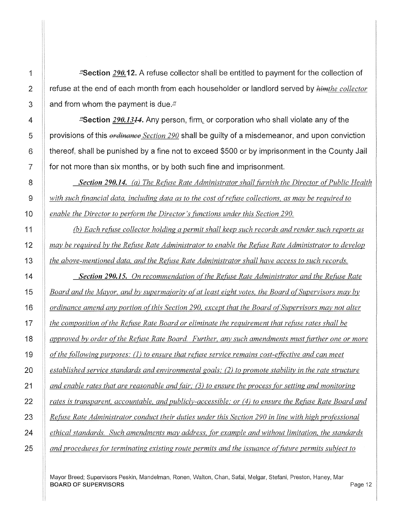.!!Section *290.12.* A refuse collector shall be entitled to payment for the collection of refuse at the end of each month from each householder or landlord served by *himthe collector*  and from whom the payment is due. $\mu$ 

**"Section 290.1314.** Any person, firm, or corporation who shall violate any of the provisions of this *ordinance Section 290* shall be guilty of a misdemeanor, and upon conviction thereof, shall be punished by a fine not to exceed \$500 or by imprisonment in the County Jail for not more than six months, or by both such fine and imprisonment.

*Section 290.14. (a) The Refuse Rate Administrator shall fitrnish the Director of Public Health with such financial data, including data as to the cost of refuse collections, as may be required to enable the Director to perform the Director's fimctions under this Section 290.* 

*(b) Each refuse collector holding a permit shall keep such records and render such reports as may be required by the Refuse Rate Administrator to enable the Refitse Rate Administrator to develop the above-mentioned data, and the Refuse Rate Administrator shall have access to such records.* 

*Section 290.15. On recommendation of the Refitse Rate Administrator and the Refitse Rate Board and the Mayor, and by supermajority of at least eight votes, the Board of Supervisors may by ordinance amend any portion ofthis Section 290, except that the Board ofSupervisors may not alter the composition of the Refuse Rate Board or eliminate the requirement that refitse rates shall be approved by order of the Refuse Rate Board. Further, any such amendments must further one or more o[the following purposes:* (1) *to ensure that refitse service remains cost-effective and can meet established service standards and environmental goals; (2) to promote stability in the rate structure and enable rates that are reasonable and fair;* (3) *to ensure the process for setting and monitoring*  rates is transparent, accountable, and publicly-accessible; or (4) to ensure the Refuse Rate Board and *Refitse Rate Administrator conduct their duties under this Section 290 in line with high professional ethical standards. Such amendments may address, for example and without limitation, the standards and procedures for terminating existing route permits and the issuance o[fitture permits subject to* 

Mayor Breed; Supervisors Peskin, Mandelman, Ronen, Walton, Chan, Safai, Melgar, Stefani, Preston, Haney, Mar BOARD OF SUPERVISORS And the state of the state of the state of the state of the state of the state of the state of the state of the state of the state of the state of the state of the state of the state of the state of th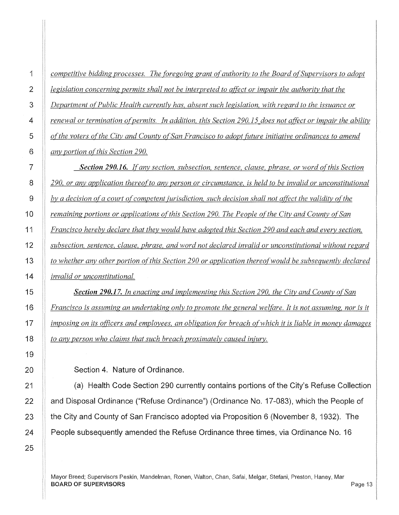| competitive bidding processes. The foregoing grant of authority to the Board of Supervisors to adopt      |
|-----------------------------------------------------------------------------------------------------------|
| legislation concerning permits shall not be interpreted to affect or impair the authority that the        |
| Department of Public Health currently has, absent such legislation, with regard to the issuance or        |
| renewal or termination of permits. In addition, this Section 290.15 does not affect or impair the ability |
| of the voters of the City and County of San Francisco to adopt future initiative ordinances to amend      |
| any portion of this Section 290.                                                                          |
| Section 290.16. If any section, subsection, sentence, clause, phrase, or word of this Section             |
| 290, or any application thereof to any person or circumstance, is held to be invalid or unconstitutional  |
| by a decision of a court of competent jurisdiction, such decision shall not affect the validity of the    |
| remaining portions or applications of this Section 290. The People of the City and County of San          |
| Francisco hereby declare that they would have adopted this Section 290 and each and every section,        |
| subsection, sentence, clause, phrase, and word not declared invalid or unconstitutional without regard    |
| to whether any other portion of this Section 290 or application thereof would be subsequently declared    |
| invalid or unconstitutional.                                                                              |
| <b>Section 290.17.</b> In enacting and implementing this Section 290, the City and County of San          |
| Francisco is assuming an undertaking only to promote the general welfare. It is not assuming, nor is it   |
| imposing on its officers and employees, an obligation for breach of which it is liable in money damages   |
| to any person who claims that such breach proximately caused injury.                                      |
|                                                                                                           |
| Section 4. Nature of Ordinance.                                                                           |
| (a) Health Code Section 290 currently contains portions of the City's Refuse Collection                   |
| and Disposal Ordinance ("Refuse Ordinance") (Ordinance No. 17-083), which the People of                   |
| the City and County of San Francisco adopted via Proposition 6 (November 8, 1932). The                    |

**21 22 23 24 People subsequently amended the Refuse Ordinance three times, via Ordinance No. 16** 

1

**2** 

**3** 

**4** 

**5** 

**6** 

**7** 

8

**9** 

**10** 

**11** 

**12** 

**13** 

**14** 

**15** 

**16** 

**17** 

**18** 

**19** 

**20** 

25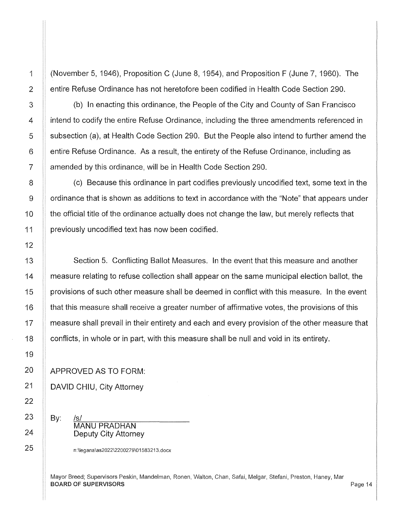1 (November 5, 1946), Proposition C (June 8, 1954), and Proposition F (June 7, 1960). The 2 | entire Refuse Ordinance has not heretofore been codified in Health Code Section 290.

3 (b) In enacting this ordinance, the People of the City and County of San Francisco 4 **ignificial** intend to codify the entire Refuse Ordinance, including the three amendments referenced in 5 Subsection (a), at Health Code Section 290. But the People also intend to further amend the 6 | entire Refuse Ordinance. As a result, the entirety of the Refuse Ordinance, including as 7 | amended by this ordinance, will be in Health Code Section 290.

 $\parallel$  (c) Because this ordinance in part codifies previously uncodified text, some text in the ordinance that is shown as additions to text in accordance with the "Note" that appears under **the official title of the ordinance actually does not change the law, but merely reflects that** 11 | previously uncodified text has now been codified.

13 Section 5. Conflicting Ballot Measures. In the event that this measure and another 14 measure relating to refuse collection shall appear on the same municipal election ballot, the 15 **provisions of such other measure shall be deemed in conflict with this measure. In the event** 16 **that this measure shall receive a greater number of affirmative votes, the provisions of this** 17 measure shall prevail in their entirety and each and every provision of the other measure that 18 **conflicts, in whole or in part, with this measure shall be null and void in its entirety.** 

APPROVED AS TO FORM:

DAVID CHIU, City Attorney

By: <u>/s/ \_</u>\_\_\_\_\_\_\_\_\_\_\_\_\_\_\_\_\_\_\_\_\_\_\_\_\_\_\_\_\_\_\_\_\_ MANU PRADHAN Deputy City Attorney

n:\legana\as2022\2200279\01583213.docx

Mayor Breed; Supervisors Peskin, Mandelman, Ronen, Walton, Chan, Safai, Melgar, Stefani, Preston, Haney, Mar BOARD OF SUPERVISORS And the state of the state of the state of the state of the state of the state of the state of the state of the state of the state of the state of the state of the state of the state of the state of th